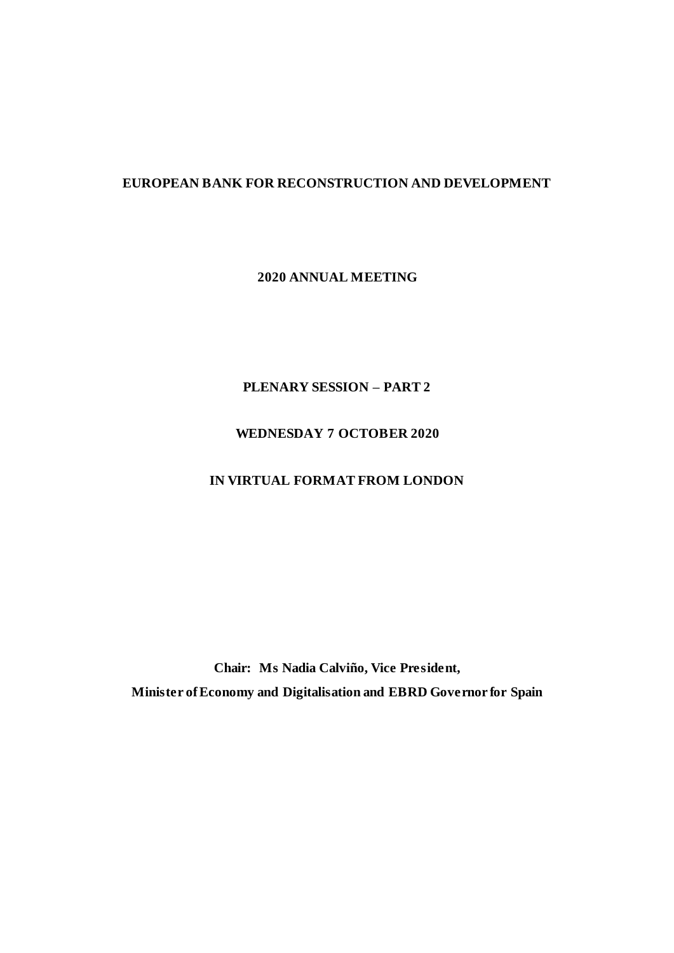## **EUROPEAN BANK FOR RECONSTRUCTION AND DEVELOPMENT**

**2020 ANNUAL MEETING**

**PLENARY SESSION – PART 2**

# **WEDNESDAY 7 OCTOBER 2020**

# **IN VIRTUAL FORMAT FROM LONDON**

**Chair: Ms Nadia Calviño, Vice President, Minister of Economy and Digitalisation and EBRD Governor for Spain**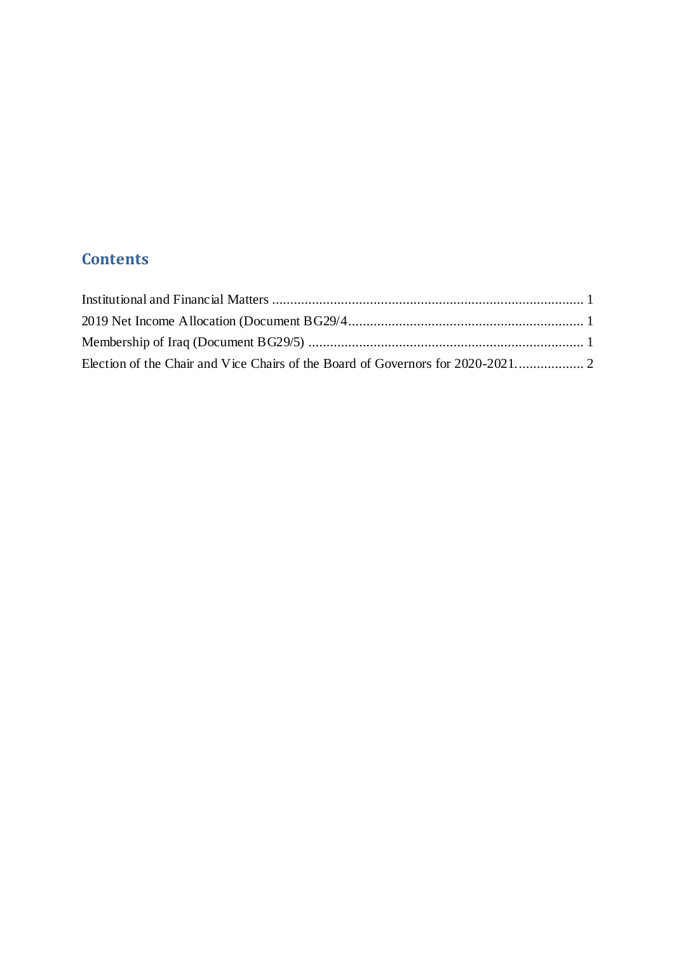# **Contents**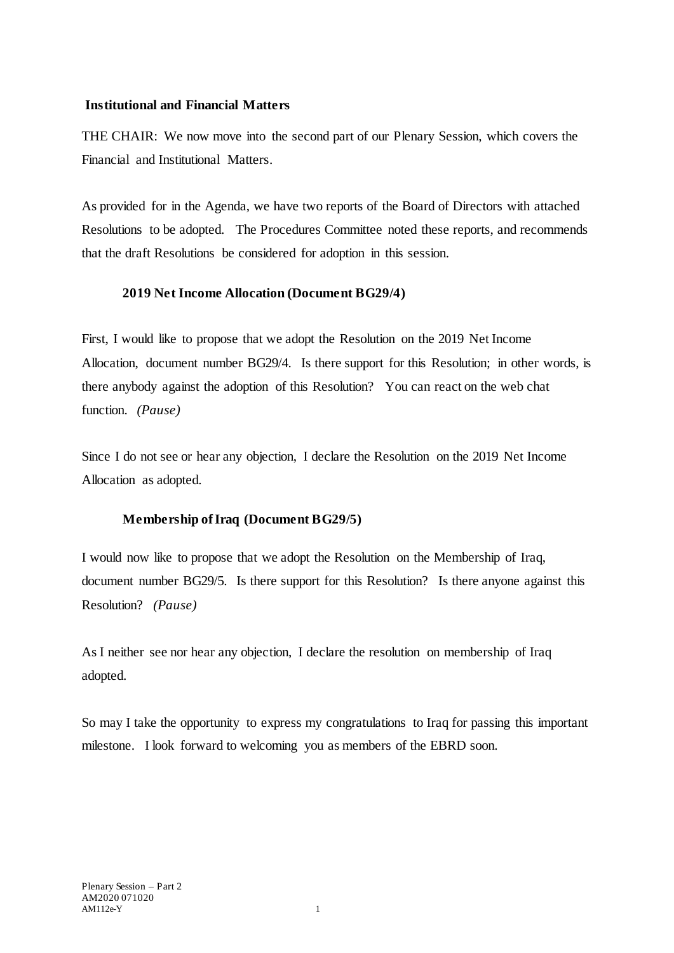#### <span id="page-2-0"></span>**Institutional and Financial Matters**

THE CHAIR: We now move into the second part of our Plenary Session, which covers the Financial and Institutional Matters.

As provided for in the Agenda, we have two reports of the Board of Directors with attached Resolutions to be adopted. The Procedures Committee noted these reports, and recommends that the draft Resolutions be considered for adoption in this session.

## <span id="page-2-1"></span>**2019 Net Income Allocation (Document BG29/4)**

First, I would like to propose that we adopt the Resolution on the 2019 Net Income Allocation, document number BG29/4. Is there support for this Resolution; in other words, is there anybody against the adoption of this Resolution? You can react on the web chat function. *(Pause)* 

Since I do not see or hear any objection, I declare the Resolution on the 2019 Net Income Allocation as adopted.

# **Membership of Iraq (Document BG29/5)**

<span id="page-2-2"></span>I would now like to propose that we adopt the Resolution on the Membership of Iraq, document number BG29/5. Is there support for this Resolution? Is there anyone against this Resolution? *(Pause)*

As I neither see nor hear any objection, I declare the resolution on membership of Iraq adopted.

So may I take the opportunity to express my congratulations to Iraq for passing this important milestone. I look forward to welcoming you as members of the EBRD soon.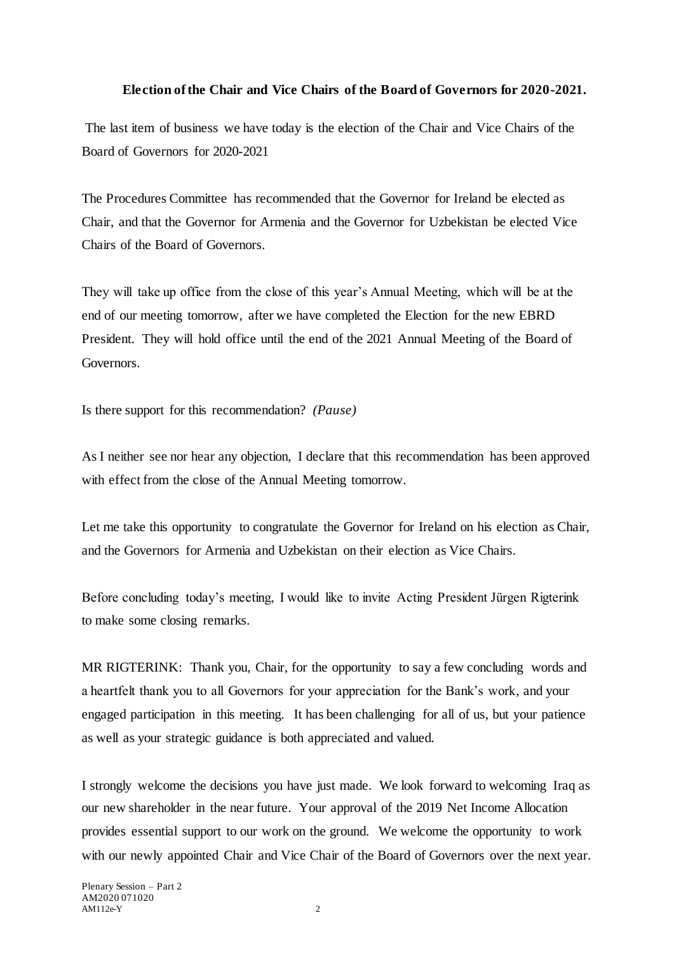#### **Election of the Chair and Vice Chairs of the Board of Governors for 2020-2021.**

<span id="page-3-0"></span>The last item of business we have today is the election of the Chair and Vice Chairs of the Board of Governors for 2020-2021

The Procedures Committee has recommended that the Governor for Ireland be elected as Chair, and that the Governor for Armenia and the Governor for Uzbekistan be elected Vice Chairs of the Board of Governors.

They will take up office from the close of this year's Annual Meeting, which will be at the end of our meeting tomorrow, after we have completed the Election for the new EBRD President. They will hold office until the end of the 2021 Annual Meeting of the Board of Governors.

Is there support for this recommendation? *(Pause)* 

As I neither see nor hear any objection, I declare that this recommendation has been approved with effect from the close of the Annual Meeting tomorrow.

Let me take this opportunity to congratulate the Governor for Ireland on his election as Chair, and the Governors for Armenia and Uzbekistan on their election as Vice Chairs.

Before concluding today's meeting, I would like to invite Acting President Jürgen Rigterink to make some closing remarks.

MR RIGTERINK: Thank you, Chair, for the opportunity to say a few concluding words and a heartfelt thank you to all Governors for your appreciation for the Bank's work, and your engaged participation in this meeting. It has been challenging for all of us, but your patience as well as your strategic guidance is both appreciated and valued.

I strongly welcome the decisions you have just made. We look forward to welcoming Iraq as our new shareholder in the near future. Your approval of the 2019 Net Income Allocation provides essential support to our work on the ground. We welcome the opportunity to work with our newly appointed Chair and Vice Chair of the Board of Governors over the next year.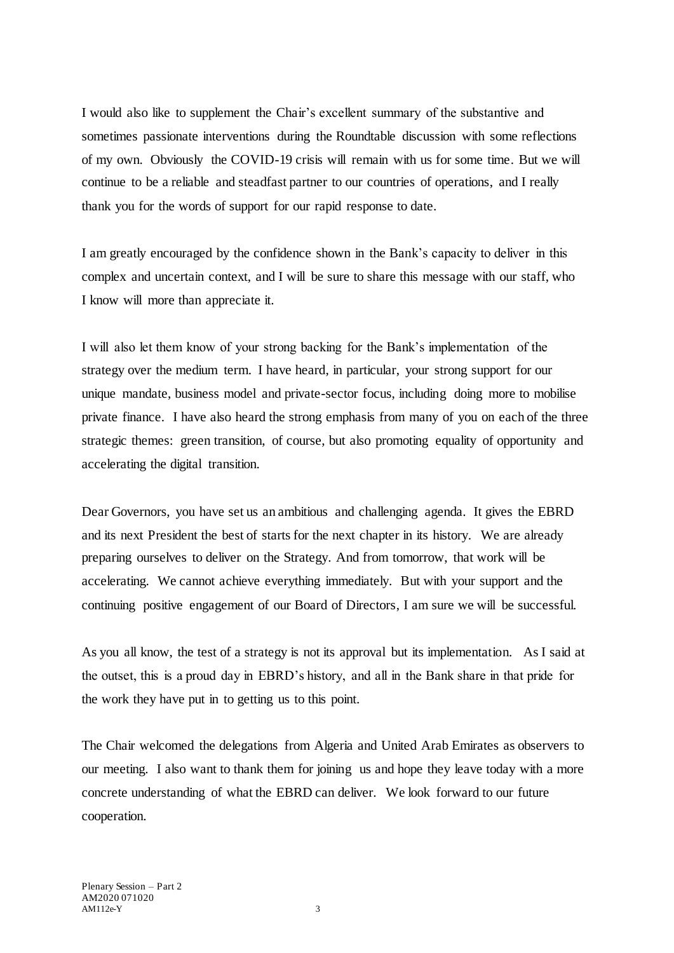I would also like to supplement the Chair's excellent summary of the substantive and sometimes passionate interventions during the Roundtable discussion with some reflections of my own. Obviously the COVID-19 crisis will remain with us for some time. But we will continue to be a reliable and steadfast partner to our countries of operations, and I really thank you for the words of support for our rapid response to date.

I am greatly encouraged by the confidence shown in the Bank's capacity to deliver in this complex and uncertain context, and I will be sure to share this message with our staff, who I know will more than appreciate it.

I will also let them know of your strong backing for the Bank's implementation of the strategy over the medium term. I have heard, in particular, your strong support for our unique mandate, business model and private-sector focus, including doing more to mobilise private finance. I have also heard the strong emphasis from many of you on each of the three strategic themes: green transition, of course, but also promoting equality of opportunity and accelerating the digital transition.

Dear Governors, you have set us an ambitious and challenging agenda. It gives the EBRD and its next President the best of starts for the next chapter in its history. We are already preparing ourselves to deliver on the Strategy. And from tomorrow, that work will be accelerating. We cannot achieve everything immediately. But with your support and the continuing positive engagement of our Board of Directors, I am sure we will be successful.

As you all know, the test of a strategy is not its approval but its implementation. As I said at the outset, this is a proud day in EBRD's history, and all in the Bank share in that pride for the work they have put in to getting us to this point.

The Chair welcomed the delegations from Algeria and United Arab Emirates as observers to our meeting. I also want to thank them for joining us and hope they leave today with a more concrete understanding of what the EBRD can deliver. We look forward to our future cooperation.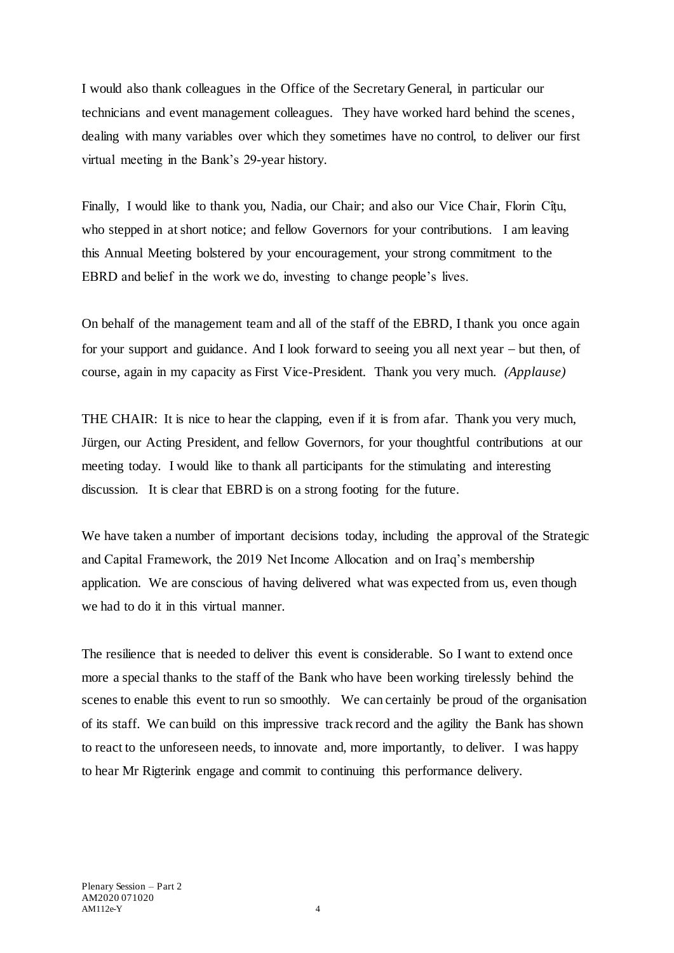I would also thank colleagues in the Office of the Secretary General, in particular our technicians and event management colleagues. They have worked hard behind the scenes, dealing with many variables over which they sometimes have no control, to deliver our first virtual meeting in the Bank's 29-year history.

Finally, I would like to thank you, Nadia, our Chair; and also our Vice Chair, Florin Cîtu, who stepped in at short notice; and fellow Governors for your contributions. I am leaving this Annual Meeting bolstered by your encouragement, your strong commitment to the EBRD and belief in the work we do, investing to change people's lives.

On behalf of the management team and all of the staff of the EBRD, I thank you once again for your support and guidance. And I look forward to seeing you all next year  $-$  but then, of course, again in my capacity as First Vice-President. Thank you very much. *(Applause)*

THE CHAIR: It is nice to hear the clapping, even if it is from afar. Thank you very much, Jürgen, our Acting President, and fellow Governors, for your thoughtful contributions at our meeting today. I would like to thank all participants for the stimulating and interesting discussion. It is clear that EBRD is on a strong footing for the future.

We have taken a number of important decisions today, including the approval of the Strategic and Capital Framework, the 2019 Net Income Allocation and on Iraq's membership application. We are conscious of having delivered what was expected from us, even though we had to do it in this virtual manner.

The resilience that is needed to deliver this event is considerable. So I want to extend once more a special thanks to the staff of the Bank who have been working tirelessly behind the scenes to enable this event to run so smoothly. We can certainly be proud of the organisation of its staff. We can build on this impressive track record and the agility the Bank has shown to react to the unforeseen needs, to innovate and, more importantly, to deliver. I was happy to hear Mr Rigterink engage and commit to continuing this performance delivery.